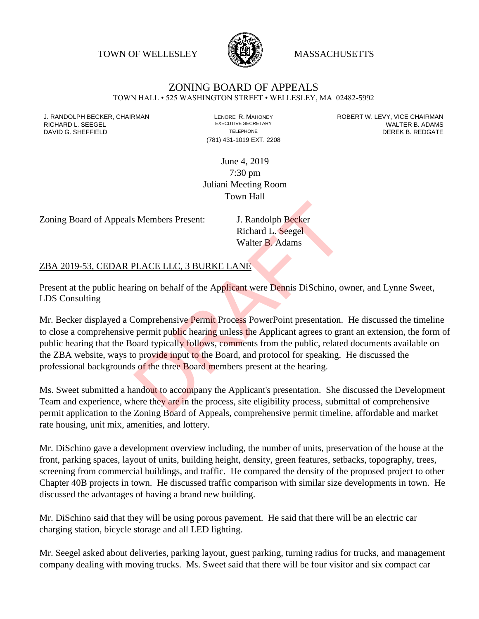TOWN OF WELLESLEY **WASSACHUSETTS** 



## ZONING BOARD OF APPEALS

TOWN HALL • 525 WASHINGTON STREET • WELLESLEY, MA 02482-5992

(781) 431-1019 EXT. 2208

J. RANDOLPH BECKER, CHAIRMAN LAND LENORE R. MAHONEY LEWING AN ANDERT W. LEVY, VICE CHAIRMAN LAND LENORE R. MAHONEY<br>RICHARD L. SFFGFI LADAMS RICHARD L. SEEGEL **EXECUTIVE SECRETARY CONTROLL SEEGETARY** WALTER B. ADAMS DAVID G. SHEFFIELD **TELEPHONE** TELEPHONE TELEPHONE **TELEPHONE DEREK B. REDGATE** 

> June 4, 2019 7:30 pm Juliani Meeting Room Town Hall

Zoning Board of Appeals Members Present: J. Randolph Becker

Richard L. Seegel Walter B. Adams

## ZBA 2019-53, CEDAR PLACE LLC, 3 BURKE LANE

Present at the public hearing on behalf of the Applicant were Dennis DiSchino, owner, and Lynne Sweet, LDS Consulting

Mr. Becker displayed a Comprehensive Permit Process PowerPoint presentation. He discussed the timeline to close a comprehensive permit public hearing unless the Applicant agrees to grant an extension, the form of public hearing that the Board typically follows, comments from the public, related documents available on the ZBA website, ways to provide input to the Board, and protocol for speaking. He discussed the professional backgrounds of the three Board members present at the hearing. J. Randolph Becker<br>Richard L. Seegel<br>Walter B. Adams<br>PLACE LLC, 3 BURKE LANE<br>ing on behalf of the Applicant were Dennis DiSchino, over<br>Domprehensive Permit Process PowerPoint presentation.<br>permit public hearing unless the

Ms. Sweet submitted a handout to accompany the Applicant's presentation. She discussed the Development Team and experience, where they are in the process, site eligibility process, submittal of comprehensive permit application to the Zoning Board of Appeals, comprehensive permit timeline, affordable and market rate housing, unit mix, amenities, and lottery.

Mr. DiSchino gave a development overview including, the number of units, preservation of the house at the front, parking spaces, layout of units, building height, density, green features, setbacks, topography, trees, screening from commercial buildings, and traffic. He compared the density of the proposed project to other Chapter 40B projects in town. He discussed traffic comparison with similar size developments in town. He discussed the advantages of having a brand new building.

Mr. DiSchino said that they will be using porous pavement. He said that there will be an electric car charging station, bicycle storage and all LED lighting.

Mr. Seegel asked about deliveries, parking layout, guest parking, turning radius for trucks, and management company dealing with moving trucks. Ms. Sweet said that there will be four visitor and six compact car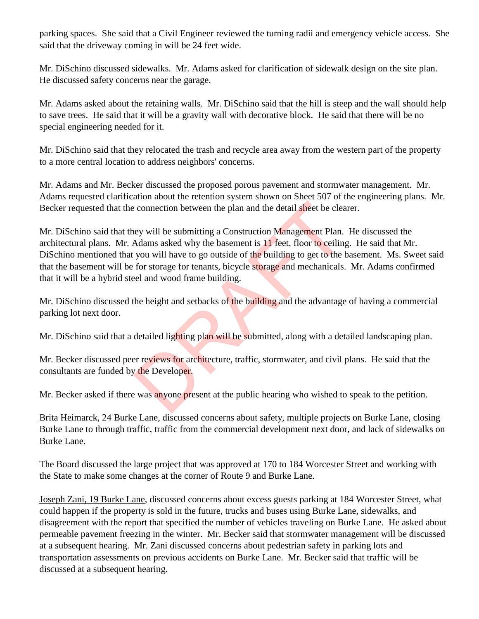parking spaces. She said that a Civil Engineer reviewed the turning radii and emergency vehicle access. She said that the driveway coming in will be 24 feet wide.

Mr. DiSchino discussed sidewalks. Mr. Adams asked for clarification of sidewalk design on the site plan. He discussed safety concerns near the garage.

Mr. Adams asked about the retaining walls. Mr. DiSchino said that the hill is steep and the wall should help to save trees. He said that it will be a gravity wall with decorative block. He said that there will be no special engineering needed for it.

Mr. DiSchino said that they relocated the trash and recycle area away from the western part of the property to a more central location to address neighbors' concerns.

Mr. Adams and Mr. Becker discussed the proposed porous pavement and stormwater management. Mr. Adams requested clarification about the retention system shown on Sheet 507 of the engineering plans. Mr. Becker requested that the connection between the plan and the detail sheet be clearer.

Mr. DiSchino said that they will be submitting a Construction Management Plan. He discussed the architectural plans. Mr. Adams asked why the basement is 11 feet, floor to ceiling. He said that Mr. DiSchino mentioned that you will have to go outside of the building to get to the basement. Ms. Sweet said that the basement will be for storage for tenants, bicycle storage and mechanicals. Mr. Adams confirmed that it will be a hybrid steel and wood frame building. references the plan and the detail sheet be clear<br>the vill be submitting a Construction Management Plan.<br>Adams asked why the basement is 11 feet, floor to ceiling<br>you will have to go outside of the building to get to the b

Mr. DiSchino discussed the height and setbacks of the building and the advantage of having a commercial parking lot next door.

Mr. DiSchino said that a detailed lighting plan will be submitted, along with a detailed landscaping plan.

Mr. Becker discussed peer reviews for architecture, traffic, stormwater, and civil plans. He said that the consultants are funded by the Developer.

Mr. Becker asked if there was anyone present at the public hearing who wished to speak to the petition.

Brita Heimarck, 24 Burke Lane, discussed concerns about safety, multiple projects on Burke Lane, closing Burke Lane to through traffic, traffic from the commercial development next door, and lack of sidewalks on Burke Lane.

The Board discussed the large project that was approved at 170 to 184 Worcester Street and working with the State to make some changes at the corner of Route 9 and Burke Lane.

Joseph Zani, 19 Burke Lane, discussed concerns about excess guests parking at 184 Worcester Street, what could happen if the property is sold in the future, trucks and buses using Burke Lane, sidewalks, and disagreement with the report that specified the number of vehicles traveling on Burke Lane. He asked about permeable pavement freezing in the winter. Mr. Becker said that stormwater management will be discussed at a subsequent hearing. Mr. Zani discussed concerns about pedestrian safety in parking lots and transportation assessments on previous accidents on Burke Lane. Mr. Becker said that traffic will be discussed at a subsequent hearing.